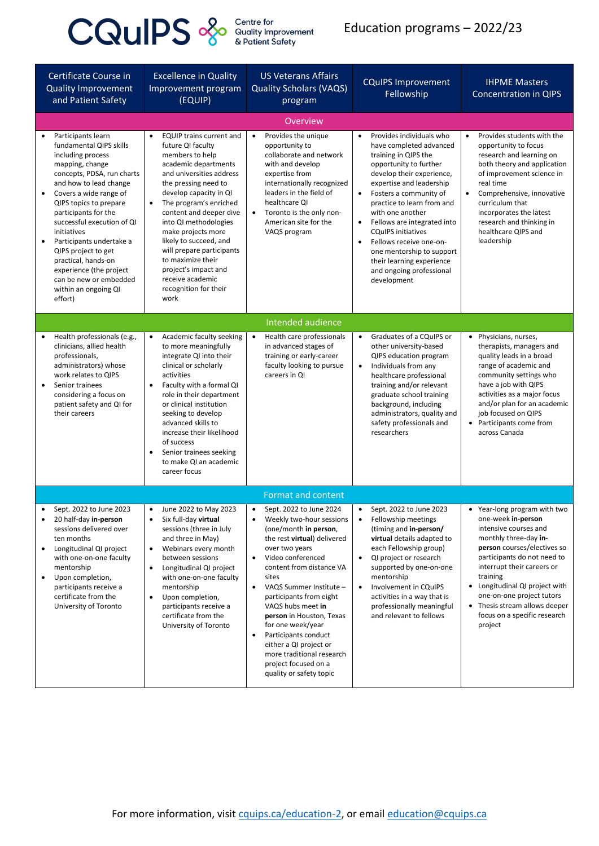## **CQUIPS**  $\frac{2}{s}$  **COURCES COURCES** Contre for

## Education programs – 2022/23

| Certificate Course in<br><b>Quality Improvement</b><br>and Patient Safety                                                                                                                                                                                                                                                                                                                                                                                                       | <b>Excellence in Quality</b><br>Improvement program<br>(EQUIP)                                                                                                                                                                                                                                                                                                                                                                                                       | <b>US Veterans Affairs</b><br><b>Quality Scholars (VAQS)</b><br>program                                                                                                                                                                                                                                                                                                                              | <b>CQuIPS Improvement</b><br>Fellowship                                                                                                                                                                                                                                                                                                                                                                                                                                                    | <b>IHPME Masters</b><br><b>Concentration in QIPS</b>                                                                                                                                                                                                                                                                                                               |  |  |  |
|---------------------------------------------------------------------------------------------------------------------------------------------------------------------------------------------------------------------------------------------------------------------------------------------------------------------------------------------------------------------------------------------------------------------------------------------------------------------------------|----------------------------------------------------------------------------------------------------------------------------------------------------------------------------------------------------------------------------------------------------------------------------------------------------------------------------------------------------------------------------------------------------------------------------------------------------------------------|------------------------------------------------------------------------------------------------------------------------------------------------------------------------------------------------------------------------------------------------------------------------------------------------------------------------------------------------------------------------------------------------------|--------------------------------------------------------------------------------------------------------------------------------------------------------------------------------------------------------------------------------------------------------------------------------------------------------------------------------------------------------------------------------------------------------------------------------------------------------------------------------------------|--------------------------------------------------------------------------------------------------------------------------------------------------------------------------------------------------------------------------------------------------------------------------------------------------------------------------------------------------------------------|--|--|--|
|                                                                                                                                                                                                                                                                                                                                                                                                                                                                                 | <b>Overview</b>                                                                                                                                                                                                                                                                                                                                                                                                                                                      |                                                                                                                                                                                                                                                                                                                                                                                                      |                                                                                                                                                                                                                                                                                                                                                                                                                                                                                            |                                                                                                                                                                                                                                                                                                                                                                    |  |  |  |
| Participants learn<br>$\bullet$<br>fundamental QIPS skills<br>including process<br>mapping, change<br>concepts, PDSA, run charts<br>and how to lead change<br>Covers a wide range of<br>$\bullet$<br>QIPS topics to prepare<br>participants for the<br>successful execution of QI<br>initiatives<br>Participants undertake a<br>$\bullet$<br>QIPS project to get<br>practical, hands-on<br>experience (the project<br>can be new or embedded<br>within an ongoing QI<br>effort) | <b>EQUIP trains current and</b><br>$\bullet$<br>future QI faculty<br>members to help<br>academic departments<br>and universities address<br>the pressing need to<br>develop capacity in QI<br>The program's enriched<br>$\bullet$<br>content and deeper dive<br>into QI methodologies<br>make projects more<br>likely to succeed, and<br>will prepare participants<br>to maximize their<br>project's impact and<br>receive academic<br>recognition for their<br>work | Provides the unique<br>$\bullet$<br>opportunity to<br>collaborate and network<br>with and develop<br>expertise from<br>internationally recognized<br>leaders in the field of<br>healthcare QI<br>Toronto is the only non-<br>$\bullet$<br>American site for the<br>VAQS program                                                                                                                      | Provides individuals who<br>$\bullet$<br>have completed advanced<br>training in QIPS the<br>opportunity to further<br>develop their experience,<br>expertise and leadership<br>Fosters a community of<br>$\bullet$<br>practice to learn from and<br>with one another<br>Fellows are integrated into<br>$\bullet$<br><b>CQuIPS initiatives</b><br>Fellows receive one-on-<br>$\bullet$<br>one mentorship to support<br>their learning experience<br>and ongoing professional<br>development | Provides students with the<br>$\bullet$<br>opportunity to focus<br>research and learning on<br>both theory and application<br>of improvement science in<br>real time<br>Comprehensive, innovative<br>$\bullet$<br>curriculum that<br>incorporates the latest<br>research and thinking in<br>healthcare QIPS and<br>leadership                                      |  |  |  |
|                                                                                                                                                                                                                                                                                                                                                                                                                                                                                 |                                                                                                                                                                                                                                                                                                                                                                                                                                                                      | Intended audience                                                                                                                                                                                                                                                                                                                                                                                    |                                                                                                                                                                                                                                                                                                                                                                                                                                                                                            |                                                                                                                                                                                                                                                                                                                                                                    |  |  |  |
| Health professionals (e.g.,<br>clinicians, allied health<br>professionals,<br>administrators) whose<br>work relates to QIPS<br>Senior trainees<br>considering a focus on<br>patient safety and QI for<br>their careers                                                                                                                                                                                                                                                          | Academic faculty seeking<br>$\bullet$<br>to more meaningfully<br>integrate QI into their<br>clinical or scholarly<br>activities<br>Faculty with a formal QI<br>$\bullet$<br>role in their department<br>or clinical institution<br>seeking to develop<br>advanced skills to<br>increase their likelihood<br>of success<br>Senior trainees seeking<br>٠<br>to make QI an academic<br>career focus                                                                     | Health care professionals<br>$\bullet$<br>in advanced stages of<br>training or early-career<br>faculty looking to pursue<br>careers in QI                                                                                                                                                                                                                                                            | Graduates of a CQuIPS or<br>$\bullet$<br>other university-based<br>QIPS education program<br>Individuals from any<br>$\bullet$<br>healthcare professional<br>training and/or relevant<br>graduate school training<br>background, including<br>administrators, quality and<br>safety professionals and<br>researchers                                                                                                                                                                       | • Physicians, nurses,<br>therapists, managers and<br>quality leads in a broad<br>range of academic and<br>community settings who<br>have a job with QIPS<br>activities as a major focus<br>and/or plan for an academic<br>job focused on QIPS<br>• Participants come from<br>across Canada                                                                         |  |  |  |
| <b>Format and content</b>                                                                                                                                                                                                                                                                                                                                                                                                                                                       |                                                                                                                                                                                                                                                                                                                                                                                                                                                                      |                                                                                                                                                                                                                                                                                                                                                                                                      |                                                                                                                                                                                                                                                                                                                                                                                                                                                                                            |                                                                                                                                                                                                                                                                                                                                                                    |  |  |  |
| Sept. 2022 to June 2023<br>20 half-day in-person<br>$\bullet$<br>sessions delivered over<br>ten months<br>Longitudinal QI project<br>with one-on-one faculty<br>mentorship<br>Upon completion,<br>$\bullet$<br>participants receive a<br>certificate from the<br>University of Toronto                                                                                                                                                                                          | June 2022 to May 2023<br>$\bullet$<br>Six full-day virtual<br>$\bullet$<br>sessions (three in July<br>and three in May)<br>Webinars every month<br>$\bullet$<br>between sessions<br>Longitudinal QI project<br>$\bullet$<br>with one-on-one faculty<br>mentorship<br>Upon completion,<br>$\bullet$<br>participants receive a<br>certificate from the<br>University of Toronto                                                                                        | Sept. 2022 to June 2024<br>$\bullet$<br>Weekly two-hour sessions<br>$\bullet$<br>(one/month in person,<br>the rest virtual) delivered<br>over two years<br>Video conferenced<br>$\bullet$<br>content from distance VA<br>sites<br>VAQS Summer Institute -<br>$\bullet$<br>participants from eight<br>VAQS hubs meet in<br>person in Houston, Texas<br>for one week/year<br>Participants conduct<br>٠ | Sept. 2022 to June 2023<br>$\bullet$<br>Fellowship meetings<br>$\bullet$<br>(timing and in-person/<br>virtual details adapted to<br>each Fellowship group)<br>QI project or research<br>$\bullet$<br>supported by one-on-one<br>mentorship<br>Involvement in CQuIPS<br>$\bullet$<br>activities in a way that is<br>professionally meaningful<br>and relevant to fellows                                                                                                                    | • Year-long program with two<br>one-week in-person<br>intensive courses and<br>monthly three-day in-<br>person courses/electives so<br>participants do not need to<br>interrupt their careers or<br>training<br>Longitudinal QI project with<br>$\bullet$<br>one-on-one project tutors<br>• Thesis stream allows deeper<br>focus on a specific research<br>project |  |  |  |

| either a QI project or    |  |
|---------------------------|--|
| more traditional research |  |
| project focused on a      |  |
| quality or safety topic   |  |
|                           |  |

For more information, visit [cquips.ca/education-2,](https://cquips.ca/education-2) or email [education@cquips.ca](mailto:education@cquips.ca)